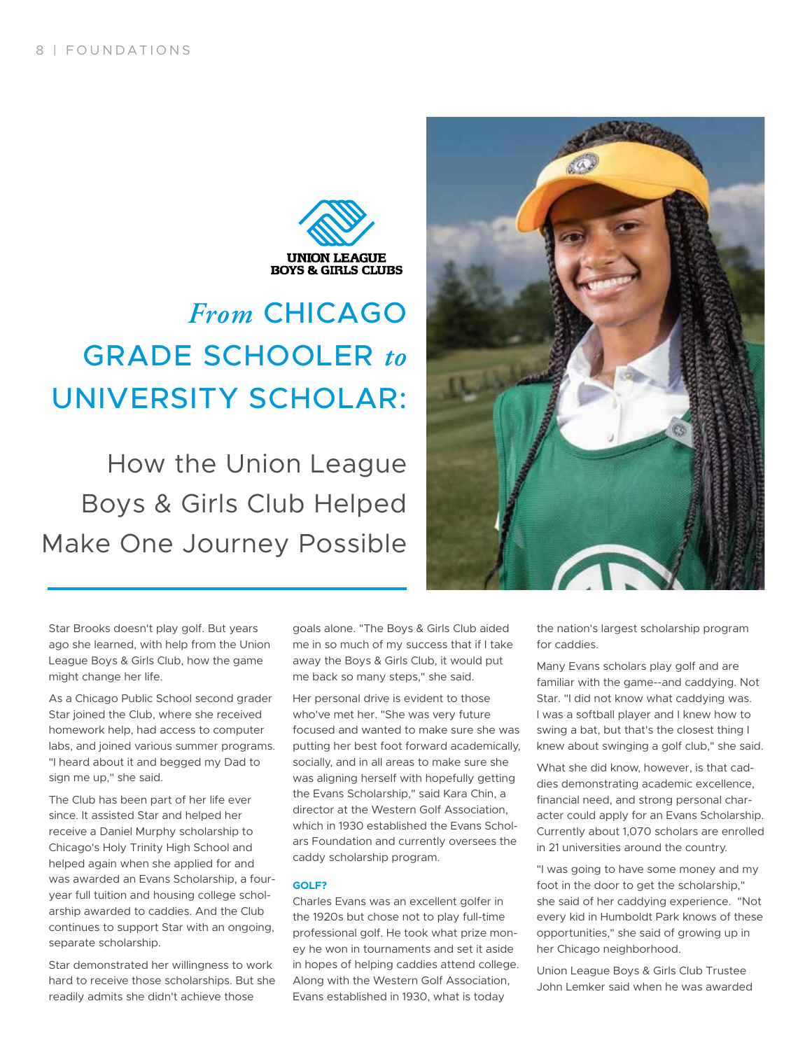

# *From* CHICAGO GRADE SCHOOLER *to* UNIVERSITY SCHOLAR:

How the Union League Boys & Girls Club Helped Make One Journey Possible



Star Brooks doesn't play golf. But years ago she learned, with help from the Union League Boys & Girls Club, how the game might change her life.

As a Chicago Public School second grader Star joined the Club, where she received homework help, had access to computer labs, and joined various summer programs. "I heard about it and begged my Dad to sign me up," she said.

The Club has been part of her life ever since. It assisted Star and helped her receive a Daniel Murphy scholarship to Chicago's Holy Trinity High School and helped again when she applied for and was awarded an Evans Scholarship, a fouryear full tuition and housing college scholarship awarded to caddies. And the Club continues to support Star with an ongoing, separate scholarship.

Star demonstrated her willingness to work hard to receive those scholarships. But she readily admits she didn't achieve those

goals alone. "The Boys & Girls Club aided me in so much of my success that if I take away the Boys & Girls Club, it would put me back so many steps," she said.

Her personal drive is evident to those who've met her. "She was very future focused and wanted to make sure she was putting her best foot forward academically, socially, and in all areas to make sure she was aligning herself with hopefully getting the Evans Scholarship," said Kara Chin, a director at the Western Golf Association, which in 1930 established the Evans Scholars Foundation and currently oversees the caddy scholarship program.

#### **GOLF?**

Charles Evans was an excellent golfer in the 1920s but chose not to play full-time professional golf. He took what prize money he won in tournaments and set it aside in hopes of helping caddies attend college. Along with the Western Golf Association, Evans established in 1930, what is today

the nation's largest scholarship program for caddies.

Many Evans scholars play golf and are familiar with the game--and caddying. Not Star. "I did not know what caddying was. I was a softball player and I knew how to swing a bat, but that's the closest thing I knew about swinging a golf club," she said.

What she did know, however, is that caddies demonstrating academic excellence, financial need, and strong personal character could apply for an Evans Scholarship. Currently about 1,070 scholars are enrolled in 21 universities around the country.

"I was going to have some money and my foot in the door to get the scholarship," she said of her caddying experience. "Not every kid in Humboldt Park knows of these opportunities," she said of growing up in her Chicago neighborhood.

Union League Boys & Girls Club Trustee John Lemker said when he was awarded